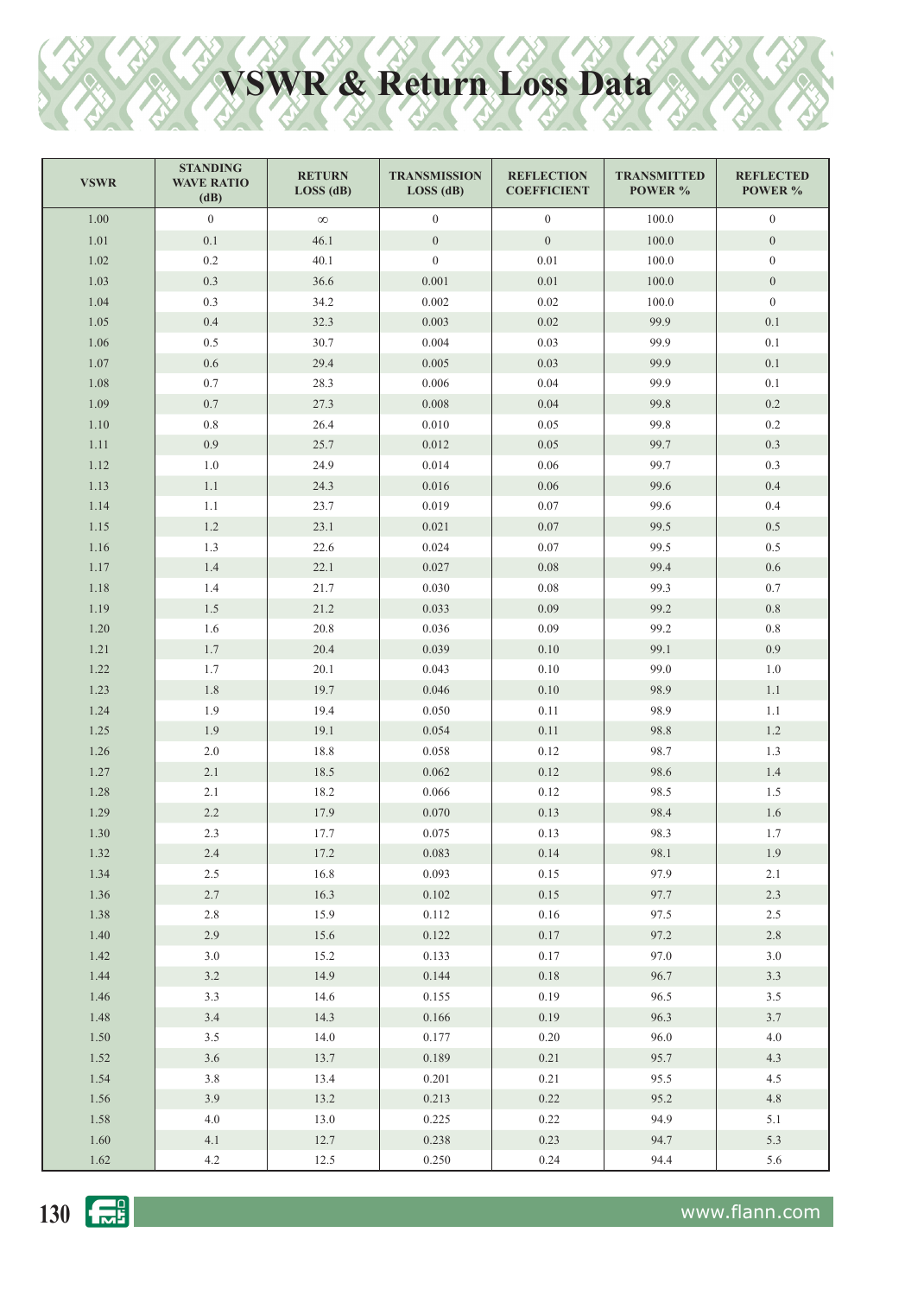## **VSWR & Return Loss Data**

| <b>VSWR</b> | <b>STANDING</b><br><b>WAVE RATIO</b><br>(dB) | <b>RETURN</b><br>LOS (dB) | <b>TRANSMISSION</b><br>LOS(dB) | <b>REFLECTION</b><br><b>COEFFICIENT</b> | <b>TRANSMITTED</b><br>POWER % | <b>REFLECTED</b><br>POWER % |
|-------------|----------------------------------------------|---------------------------|--------------------------------|-----------------------------------------|-------------------------------|-----------------------------|
| $1.00\,$    | $\mathbf{0}$                                 | $\infty$                  | $\overline{0}$                 | $\overline{0}$                          | 100.0                         | $\boldsymbol{0}$            |
| 1.01        | $0.1\,$                                      | 46.1                      | $\boldsymbol{0}$               | $\mathbf{0}$                            | 100.0                         | $\mathbf{0}$                |
| 1.02        | $0.2\,$                                      | 40.1                      | $\overline{0}$                 | $0.01\,$                                | 100.0                         | $\overline{0}$              |
| 1.03        | 0.3                                          | 36.6                      | 0.001                          | $0.01\,$                                | 100.0                         | $\overline{0}$              |
| 1.04        | 0.3                                          | 34.2                      | 0.002                          | $0.02\,$                                | 100.0                         | $\boldsymbol{0}$            |
| 1.05        | $0.4\,$                                      | 32.3                      | 0.003                          | 0.02                                    | 99.9                          | 0.1                         |
| 1.06        | 0.5                                          | 30.7                      | 0.004                          | 0.03                                    | 99.9                          | 0.1                         |
| 1.07        | $0.6\,$                                      | 29.4                      | 0.005                          | 0.03                                    | 99.9                          | 0.1                         |
| 1.08        | $0.7\,$                                      | 28.3                      | 0.006                          | 0.04                                    | 99.9                          | 0.1                         |
| 1.09        | $0.7\,$                                      | 27.3                      | 0.008                          | $0.04\,$                                | 99.8                          | $0.2\,$                     |
| 1.10        | $0.8\,$                                      | 26.4                      | 0.010                          | 0.05                                    | 99.8                          | $0.2\,$                     |
| 1.11        | 0.9                                          | 25.7                      | 0.012                          | 0.05                                    | 99.7                          | 0.3                         |
| 1.12        | $1.0\,$                                      | 24.9                      | 0.014                          | $0.06\,$                                | 99.7                          | 0.3                         |
| 1.13        | $1.1\,$                                      | 24.3                      | 0.016                          | $0.06\,$                                | 99.6                          | 0.4                         |
| 1.14        | 1.1                                          | 23.7                      | 0.019                          | $0.07\,$                                | 99.6                          | 0.4                         |
| 1.15        | $1.2\,$                                      | 23.1                      | 0.021                          | $0.07\,$                                | 99.5                          | 0.5                         |
| 1.16        | 1.3                                          | 22.6                      | 0.024                          | 0.07                                    | 99.5                          | 0.5                         |
| 1.17        | 1.4                                          | 22.1                      | 0.027                          | 0.08                                    | 99.4                          | $0.6\,$                     |
| 1.18        | 1.4                                          | 21.7                      | 0.030                          | 0.08                                    | 99.3                          | $0.7\,$                     |
| 1.19        | $1.5\,$                                      | 21.2                      | 0.033                          | 0.09                                    | 99.2                          | $0.8\,$                     |
| 1.20        | 1.6                                          | 20.8                      | 0.036                          | 0.09                                    | 99.2                          | 0.8                         |
| 1.21        | 1.7                                          | 20.4                      | 0.039                          | $0.10\,$                                | 99.1                          | 0.9                         |
| 1.22        | 1.7                                          | 20.1                      | 0.043                          | 0.10                                    | 99.0                          | 1.0                         |
| 1.23        | $1.8\,$                                      | 19.7                      | 0.046                          | 0.10                                    | 98.9                          | 1.1                         |
| 1.24        | 1.9                                          | 19.4                      | 0.050                          | 0.11                                    | 98.9                          | 1.1                         |
| 1.25        | 1.9                                          | 19.1                      | 0.054                          | 0.11                                    | 98.8                          | 1.2                         |
| 1.26        | $2.0$                                        | 18.8                      | 0.058                          | 0.12                                    | 98.7                          | 1.3                         |
| 1.27        | 2.1                                          | 18.5                      | 0.062                          | 0.12                                    | 98.6                          | 1.4                         |
| 1.28        | 2.1                                          | 18.2                      | 0.066                          | 0.12                                    | 98.5                          | 1.5                         |
| 1.29        | 2.2                                          | 17.9                      | 0.070                          | 0.13                                    | 98.4                          | $1.6\,$                     |
| 1.30        | 2.3                                          | 17.7                      | $0.075\,$                      | $0.13\,$                                | 98.3                          | 1.7                         |
| 1.32        | 2.4                                          | 17.2                      | 0.083                          | 0.14                                    | 98.1                          | 1.9                         |
| 1.34        | 2.5                                          | 16.8                      | 0.093                          | 0.15                                    | 97.9                          | 2.1                         |
| 1.36        | 2.7                                          | 16.3                      | 0.102                          | 0.15                                    | 97.7                          | 2.3                         |
| 1.38        | 2.8                                          | 15.9                      | 0.112                          | 0.16                                    | 97.5                          | 2.5                         |
| 1.40        | 2.9                                          | 15.6                      | 0.122                          | 0.17                                    | 97.2                          | $2.8\,$                     |
| 1.42        | 3.0                                          | 15.2                      | 0.133                          | 0.17                                    | 97.0                          | $3.0\,$                     |
| 1.44        | 3.2                                          | 14.9                      | 0.144                          | $0.18\,$                                | 96.7                          | 3.3                         |
| 1.46        | 3.3                                          | 14.6                      | 0.155                          | 0.19                                    | 96.5                          | 3.5                         |
| 1.48        | 3.4                                          | 14.3                      | 0.166                          | 0.19                                    | 96.3                          | 3.7                         |
| 1.50        | 3.5                                          | 14.0                      | 0.177                          | 0.20                                    | 96.0                          | $4.0\,$                     |
| 1.52        | 3.6                                          | 13.7                      | 0.189                          | 0.21                                    | 95.7                          | 4.3                         |
| 1.54        | 3.8                                          | 13.4                      | 0.201                          | 0.21                                    | 95.5                          | 4.5                         |
| 1.56        | 3.9                                          | 13.2                      | 0.213                          | 0.22                                    | 95.2                          | $4.8\,$                     |
| 1.58        | $4.0\,$                                      | 13.0                      | 0.225                          | 0.22                                    | 94.9                          | $5.1$                       |
| 1.60        | 4.1                                          | 12.7                      | 0.238                          | 0.23                                    | 94.7<br>94.4                  | 5.3                         |
| 1.62        | 4.2                                          | 12.5                      | 0.250                          | 0.24                                    |                               | 5.6                         |